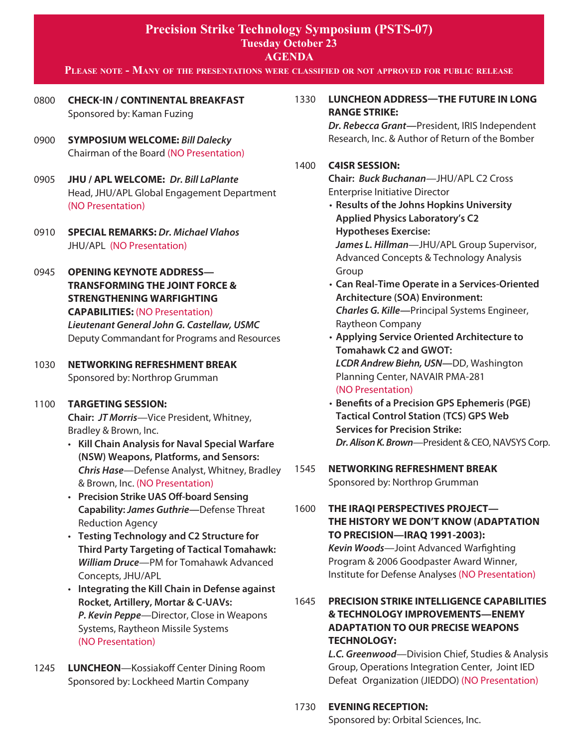#### **Please note - Many of the presentations were classified or not approved for public release**

- 0800 **CHECK-IN / CONTINENTAL BREAKFAST** Sponsored by: Kaman Fuzing
- 0900 **SYMPOSIUM WELCOME:** *Bill Dalecky* Chairman of the Board (NO Presentation)
- 0905 **JHU / APL WELCOME:** *Dr. Bill LaPlante* Head, JHU/APL Global Engagement Department (NO Presentation)
- 0910 **SPECIAL REMARKS:** *Dr. Michael Vlahos* JHU/APL (NO Presentation)
- 0945 **OPENING KEYNOTE ADDRESS— TRANSFORMING THE JOINT FORCE & STRENGTHENING WARFIGHTING CAPABILITIES:** (NO Presentation)

*Lieutenant General John G. Castellaw, USMC* Deputy Commandant for Programs and Resources 

## 1030 **NETWORKING REFRESHMENT BREAK** Sponsored by: Northrop Grumman

#### 1100 **TARGETING SESSION:**

**Chair:** *JT Morris*—Vice President, Whitney, Bradley & Brown, Inc.

- • **Kill Chain Analysis for Naval Special Warfare (NSW) Weapons, Platforms, and Sensors:**  *Chris Hase*—Defense Analyst, Whitney, Bradley & Brown, Inc. (NO Presentation)
- • **Precision Strike UAS Off-board Sensing Capability:** *James Guthrie—*Defense Threat Reduction Agency
- • **Testing Technology and C2 Structure for Third Party Targeting of Tactical Tomahawk:**  *William Druce*—PM for Tomahawk Advanced Concepts, JHU/APL
- • **Integrating the Kill Chain in Defense against Rocket, Artillery, Mortar & C-UAVs:** *P. Kevin Peppe*—Director, Close in Weapons Systems, Raytheon Missile Systems (NO Presentation)
- 1245 **LUNCHEON**—Kossiakoff Center Dining Room Sponsored by: Lockheed Martin Company

## 1330 **LUNCHEON ADDRESS—the future in long range strike:**

*Dr. Rebecca Grant—*President, IRIS Independent Research, Inc. & Author of Return of the Bomber

## 1400 **C4ISR SESSION:**

**Chair:** *Buck Buchanan*—JHU/APL C2 Cross Enterprise Initiative Director

 • **Results of the Johns Hopkins University Applied Physics Laboratory's C2 Hypotheses Exercise:**  *James L. Hillman*—JHU/APL Group Supervisor, Advanced Concepts & Technology Analysis 

 Group

- • **Can Real-Time Operate in a Services-Oriented Architecture (SOA) Environment:** *Charles G. Kille—*Principal Systems Engineer, Raytheon Company
- • **Applying Service Oriented Architecture to Tomahawk C2 and GWOT:** *LCDR Andrew Biehn, USN—*DD, Washington Planning Center, NAVAIR PMA-281 (NO Presentation)
- • **Benefits of a Precision GPS Ephemeris (PGE) Tactical Control Station (TCS) GPS Web Services for Precision Strike:** *Dr. Alison K. Brown—President & CEO, NAVSYS Corp.*
- 1545 **NETWORKING REFRESHMENT BREAK** Sponsored by: Northrop Grumman
- 1600 **THE IRAQI PERSPECTIVES PROJECT— THE HISTORY WE DON'T KNOW (ADAPTATION TO PRECISION—IRAQ 1991-2003):**

*Kevin Woods*—Joint Advanced Warfighting Program & 2006 Goodpaster Award Winner, Institute for Defense Analyses (NO Presentation)

# 1645 **PRECISION STRIKE INTELLIGENCE CAPABILITIES & TECHNOLOGY IMPROVEMENTS—ENEMY ADAPTATION TO OUR PRECISE WEAPONS TECHNOLOGY:**

*L.C. Greenwood*—Division Chief, Studies & Analysis Group, Operations Integration Center, Joint IED Defeat Organization (JIEDDO) (NO Presentation)

#### 1730 **EVENING RECEPTION:**

 Sponsored by: Orbital Sciences, Inc.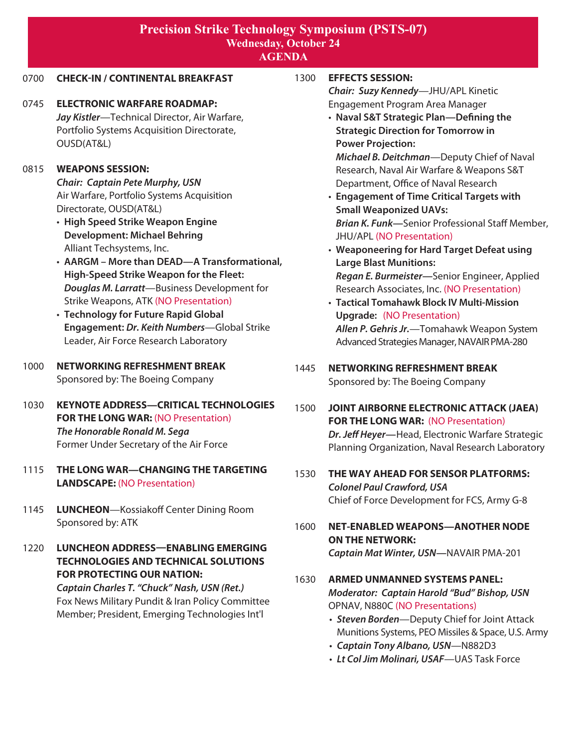# **Precision Strike Technology Symposium (PSTS-07) Wednesday, October 24 AGENDA**

## 0700 **CHECK-IN / CONTINENTAL BREAKFAST**

0745 **ELECTRONIC WARFARE ROADMAP:** *Jay Kistler*—Technical Director, Air Warfare, Portfolio Systems Acquisition Directorate, OUSD(AT&L)

#### 0815 **WEAPONS SESSION:**

*Chair: Captain Pete Murphy, USN* Air Warfare, Portfolio Systems Acquisition Directorate, OUSD(AT&L)

- • **High Speed Strike Weapon Engine Development: Michael Behring**  Alliant Techsystems, Inc.
- • **AARGM More than DEAD—A Transformational, High-Speed Strike Weapon for the Fleet:** *Douglas M. Larratt*—Business Development for Strike Weapons, ATK (NO Presentation)
- • **Technology for Future Rapid Global Engagement:** *Dr. Keith Numbers*—Global Strike Leader, Air Force Research Laboratory

## 1000 **NETWORKING REFRESHMENT BREAK** Sponsored by: The Boeing Company

- 1030 **KEYNOTE ADDRESS—CRITICAL TECHNOLOGIES FOR THE LONG WAR: (NO Presentation)** *The Honorable Ronald M. Sega* Former Under Secretary of the Air Force
- 1115 **THE LONG WAR—CHANGING THE TARGETING LANDSCAPE:** (NO Presentation)
- 1145 **LUNCHEON**—Kossiakoff Center Dining Room Sponsored by: ATK
- 1220 **LUNCHEON ADDRESS—ENABLING EMERGING TECHNOLOGIES AND TECHNICAL SOLUTIONS FOR PROTECTING OUR NATION:**

*Captain Charles T. "Chuck" Nash, USN (Ret.)* Fox News Military Pundit & Iran Policy Committee Member; President, Emerging Technologies Int'l

## 1300 **EFFECTS SESSION:**

*Chair: Suzy Kennedy*—JHU/APL Kinetic Engagement Program Area Manager

 • **Naval S&T Strategic Plan—Defining the Strategic Direction for Tomorrow in Power Projection:** 

 *Michael B. Deitchman*—Deputy Chief of Naval Research, Naval Air Warfare & Weapons S&T Department, Office of Naval Research

- • **Engagement of Time Critical Targets with Small Weaponized UAVs:**  *Brian K. Funk—*Senior Professional Staff Member, JHU/APL (NO Presentation)
- • **Weaponeering for Hard Target Defeat using Large Blast Munitions:**  *Regan E. Burmeister—*Senior Engineer, Applied Research Associates, Inc. (NO Presentation) • **Tactical Tomahawk Block IV Multi-Mission**
- **Upgrade:** (NO Presentation) *Allen P. Gehris Jr.*—Tomahawk Weapon System Advanced Strategies Manager, NAVAIR PMA-280

# 1445 **NETWORKING REFRESHMENT BREAK** Sponsored by: The Boeing Company

- 1500 **JOINT AIRBORNE ELECTRONIC ATTACK (JAEA) FOR THE LONG WAR: (NO Presentation) Dr. Jeff Heyer**—Head, Electronic Warfare Strategic Planning Organization, Naval Research Laboratory
- 1530 **THE WAY AHEAD FOR SENSOR PLATFORMS:** *Colonel Paul Crawford, USA* Chief of Force Development for FCS, Army G-8

# 1600 **NET-ENABLED WEAPONS—ANOTHER NODE ON THE NETWORK:**  *Captain Mat Winter, USN—*NAVAIR PMA-201

- 1630 **ARMED UNMANNED SYSTEMS PANEL:** *Moderator: Captain Harold "Bud" Bishop, USN* OPNAV, N880C (NO Presentations)
	- • *Steven Borden*—Deputy Chief for Joint Attack Munitions Systems, PEO Missiles & Space, U.S. Army
	- • *Captain Tony Albano, USN*—N882D3
	- • *Lt Col Jim Molinari, USAF*—UAS Task Force